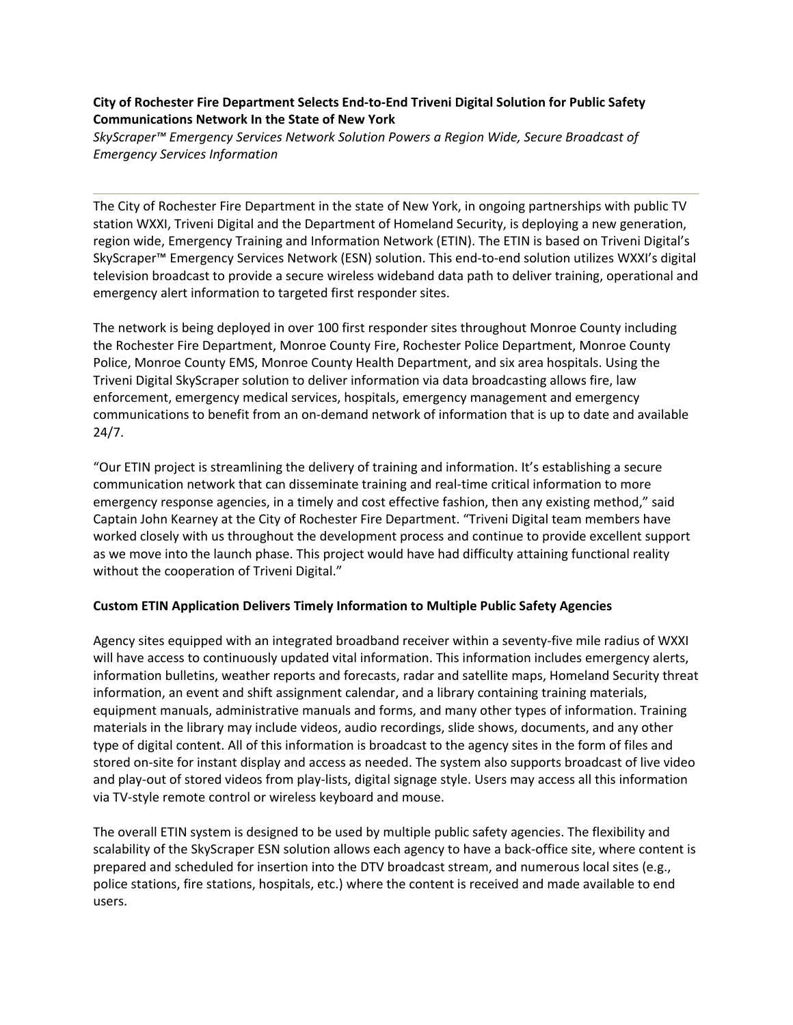## **City of Rochester Fire Department Selects End-to-End Triveni Digital Solution for Public Safety Communications Network In the State of New York**

*SkyScraper™ Emergency Services Network Solution Powers a Region Wide, Secure Broadcast of Emergency Services Information* 

The City of Rochester Fire Department in the state of New York, in ongoing partnerships with public TV station WXXI, Triveni Digital and the Department of Homeland Security, is deploying a new generation, region wide, Emergency Training and Information Network (ETIN). The ETIN is based on Triveni Digital's SkyScraper™ Emergency Services Network (ESN) solution. This end-to-end solution utilizes WXXI's digital television broadcast to provide a secure wireless wideband data path to deliver training, operational and emergency alert information to targeted first responder sites.

The network is being deployed in over 100 first responder sites throughout Monroe County including the Rochester Fire Department, Monroe County Fire, Rochester Police Department, Monroe County Police, Monroe County EMS, Monroe County Health Department, and six area hospitals. Using the Triveni Digital SkyScraper solution to deliver information via data broadcasting allows fire, law enforcement, emergency medical services, hospitals, emergency management and emergency communications to benefit from an on-demand network of information that is up to date and available 24/7.

"Our ETIN project is streamlining the delivery of training and information. It's establishing a secure communication network that can disseminate training and real-time critical information to more emergency response agencies, in a timely and cost effective fashion, then any existing method," said Captain John Kearney at the City of Rochester Fire Department. "Triveni Digital team members have worked closely with us throughout the development process and continue to provide excellent support as we move into the launch phase. This project would have had difficulty attaining functional reality without the cooperation of Triveni Digital."

## **Custom ETIN Application Delivers Timely Information to Multiple Public Safety Agencies**

Agency sites equipped with an integrated broadband receiver within a seventy-five mile radius of WXXI will have access to continuously updated vital information. This information includes emergency alerts, information bulletins, weather reports and forecasts, radar and satellite maps, Homeland Security threat information, an event and shift assignment calendar, and a library containing training materials, equipment manuals, administrative manuals and forms, and many other types of information. Training materials in the library may include videos, audio recordings, slide shows, documents, and any other type of digital content. All of this information is broadcast to the agency sites in the form of files and stored on-site for instant display and access as needed. The system also supports broadcast of live video and play-out of stored videos from play-lists, digital signage style. Users may access all this information via TV-style remote control or wireless keyboard and mouse.

The overall ETIN system is designed to be used by multiple public safety agencies. The flexibility and scalability of the SkyScraper ESN solution allows each agency to have a back-office site, where content is prepared and scheduled for insertion into the DTV broadcast stream, and numerous local sites (e.g., police stations, fire stations, hospitals, etc.) where the content is received and made available to end users.